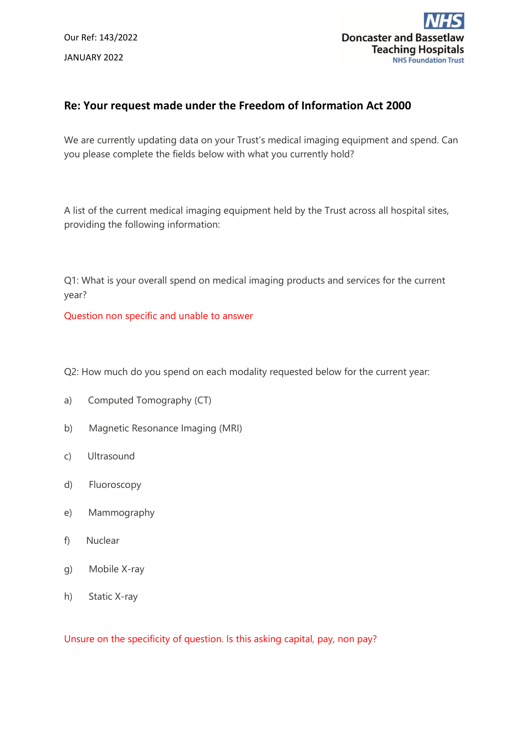Our Ref: 143/2022 JANUARY 2022



# **Re: Your request made under the Freedom of Information Act 2000**

We are currently updating data on your Trust's medical imaging equipment and spend. Can you please complete the fields below with what you currently hold?

A list of the current medical imaging equipment held by the Trust across all hospital sites, providing the following information:

Q1: What is your overall spend on medical imaging products and services for the current year?

Question non specific and unable to answer

Q2: How much do you spend on each modality requested below for the current year:

- a) Computed Tomography (CT)
- b) Magnetic Resonance Imaging (MRI)
- c) Ultrasound
- d) Fluoroscopy
- e) Mammography
- f) Nuclear
- g) Mobile X-ray
- h) Static X-ray

Unsure on the specificity of question. Is this asking capital, pay, non pay?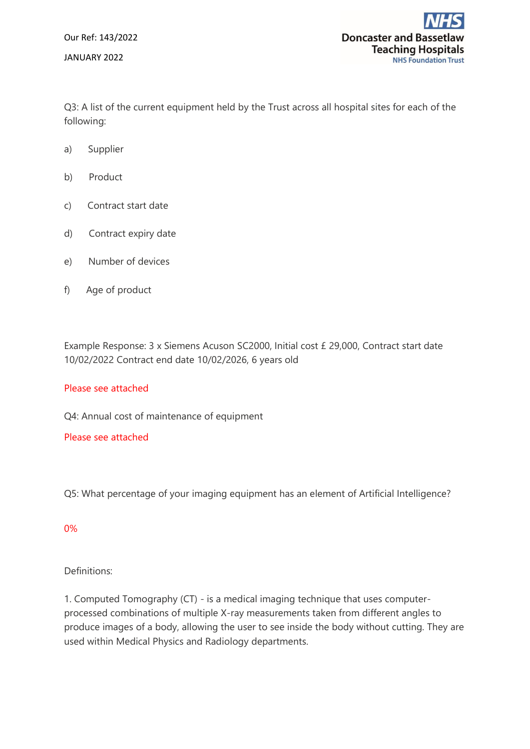Our Ref: 143/2022 JANUARY 2022

Q3: A list of the current equipment held by the Trust across all hospital sites for each of the following:

- a) Supplier
- b) Product
- c) Contract start date
- d) Contract expiry date
- e) Number of devices
- f) Age of product

Example Response: 3 x Siemens Acuson SC2000, Initial cost £ 29,000, Contract start date 10/02/2022 Contract end date 10/02/2026, 6 years old

### Please see attached

Q4: Annual cost of maintenance of equipment

### Please see attached

Q5: What percentage of your imaging equipment has an element of Artificial Intelligence?

### 0%

## Definitions:

1. Computed Tomography (CT) - is a medical imaging technique that uses computerprocessed combinations of multiple X-ray measurements taken from different angles to produce images of a body, allowing the user to see inside the body without cutting. They are used within Medical Physics and Radiology departments.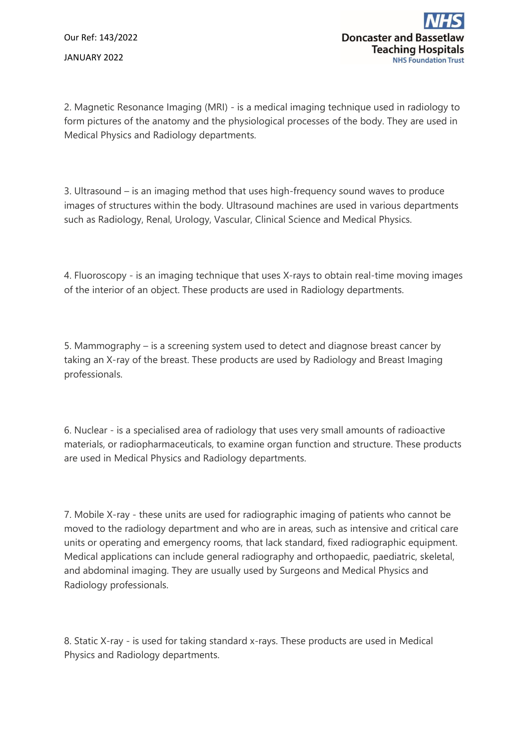Our Ref: 143/2022 JANUARY 2022

2. Magnetic Resonance Imaging (MRI) - is a medical imaging technique used in radiology to form pictures of the anatomy and the physiological processes of the body. They are used in Medical Physics and Radiology departments.

3. Ultrasound – is an imaging method that uses high-frequency sound waves to produce images of structures within the body. Ultrasound machines are used in various departments such as Radiology, Renal, Urology, Vascular, Clinical Science and Medical Physics.

4. Fluoroscopy - is an imaging technique that uses X-rays to obtain real-time moving images of the interior of an object. These products are used in Radiology departments.

5. Mammography – is a screening system used to detect and diagnose breast cancer by taking an X-ray of the breast. These products are used by Radiology and Breast Imaging professionals.

6. Nuclear - is a specialised area of radiology that uses very small amounts of radioactive materials, or radiopharmaceuticals, to examine organ function and structure. These products are used in Medical Physics and Radiology departments.

7. Mobile X-ray - these units are used for radiographic imaging of patients who cannot be moved to the radiology department and who are in areas, such as intensive and critical care units or operating and emergency rooms, that lack standard, fixed radiographic equipment. Medical applications can include general radiography and orthopaedic, paediatric, skeletal, and abdominal imaging. They are usually used by Surgeons and Medical Physics and Radiology professionals.

8. Static X-ray - is used for taking standard x-rays. These products are used in Medical Physics and Radiology departments.